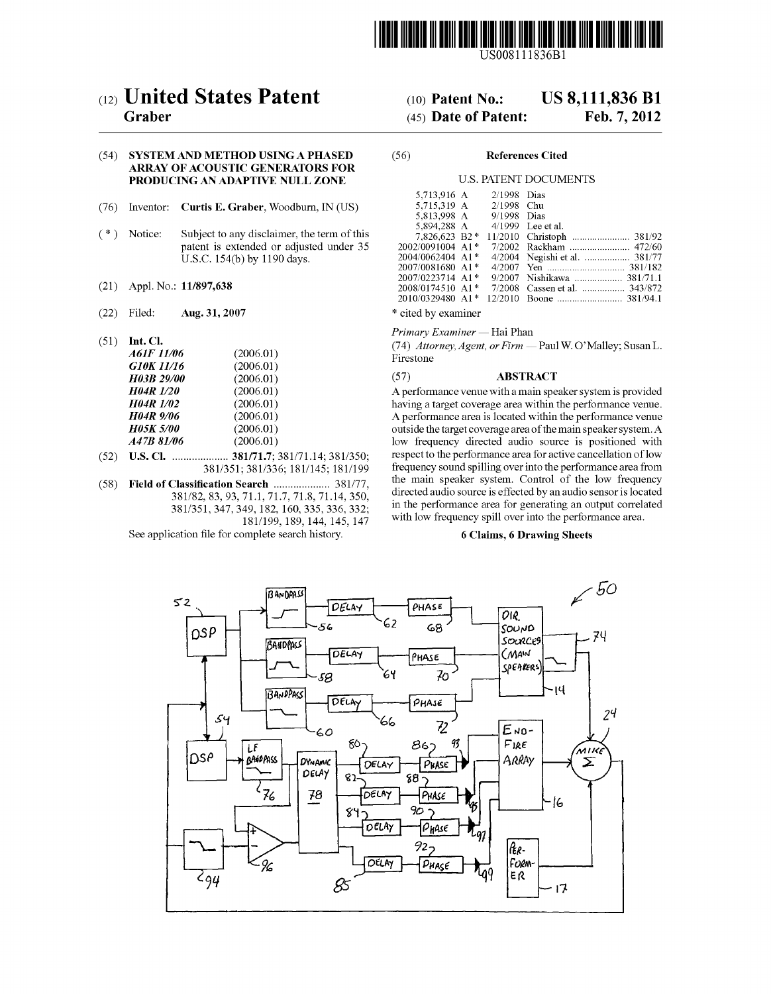

US008111836B1

# (54) SYSTEM AND METHOD USING A PHASED (56) References Cited ARRAY OF ACOUSTIC GENERATORS FOR PRODUCING AN ADAPTIVE NULL ZONE U.S. PATENT DOCUMENTS

- (76) Inventor: Curtis E. Graber, Woodburn, IN (US)
- $(* )$  Notice: Subject to any disclaimer, the term of this patent is extended or adjusted under 35 U.S.C. 154(b) by 1190 days.
- (21) Appl. No.: 11/897,638
- (22) Filed: Aug. 31, 2007  $*$  cited by examiner
- 

| <br>A61F 11/06                  | (2006.01)              | $(74)$ Attorney, Agent, or Firm — Paul N<br>Firestone |  |
|---------------------------------|------------------------|-------------------------------------------------------|--|
| G10K 11/16<br><b>H03B 29/00</b> | (2006.01)<br>(2006.01) | <b>ABSTRACT</b><br>(57)                               |  |
| <b>H04R</b> 1/20                | (2006.01)              | A performance venue with a main speal                 |  |
| <b>H04R</b> 1/02                | (2006.01)              | having a target coverage area within the              |  |
| <b>H04R</b> 9/06                | (2006.01)              | A performance area is located within the              |  |
| <b>H05K 5/00</b>                | (2006.01)              | outside the target coverage area of the m             |  |
| A47B 81/06                      | (2006.01)              | low frequency directed audio sourc                    |  |
|                                 |                        |                                                       |  |

- (52) U.S. Cl. .................... 381/71.7; 381/71.14; 381/350; respect to the performance area for active cancellation of low
- 381/351, 347, 349, 182, 160, 335, 336, 332;

See application file for complete search history. 6 Claims, 6 Drawing Sheets

# (12) United States Patent (10) Patent No.: US 8,111,836 B1<br>Graber (45) Date of Patent: Feb. 7, 2012

# $(45)$  Date of Patent:

| 5.713.916 A             | $2/1998$ Dias |                               |
|-------------------------|---------------|-------------------------------|
| 5.715.319 A 2/1998 Chu  |               |                               |
| 5.813.998 A 9/1998 Dias |               |                               |
| 5.894.288 A             |               | $4/1999$ Lee et al.           |
| 7.826.623 B2*           |               |                               |
| 2002/0091004 A1*        |               |                               |
| 2004/0062404 A1*        |               | 4/2004 Negishi et al.  381/77 |
| 2007/0081680 A1*        |               |                               |
| 2007/0223714 A1*        |               | 9/2007 Nishikawa  381/71.1    |
| 2008/0174510 A1*        |               | 7/2008 Cassen et al.  343/872 |
| 2010/0329480 A1*        | 12/2010       |                               |
|                         |               |                               |

Primary Examiner — Hai Phan

(51) Int. Cl.  $A6IF 11/06$  (2006.01)  $(A6IF 11/06)$  (2006.01)  $(A7) 14t \text{ or } 12t \text{ or } 12t \text{ or } 12t \text{ or } 12t \text{ or } 12t \text{ or } 12t \text{ or } 12t \text{ or } 12t \text{ or } 12t \text{ or } 12t \text{ or } 12t \text{ or } 12t \text{ or } 12t \text{ or } 12t \text{ or } 12t \text{ or } 12t \text{ or } 12t \$  $A61F$  11/06 (2006.01) Firestone y settlement of the set of  $A61F$  11/06

A performance venue with a main speaker system is provided having a target coverage area within the performance venue. A performance area is located within the performance venue outside the target coverage area of the main speaker system. A low frequency directed audio source is positioned with respect to the performance area for active cancellation of low frequency sound spilling over into the performance area from<br>the main speaker system. Control of the low frequency (58) Field of Classification Search .................... 38.177, the main speaker system. Control of the low frequency 381/82, 83, 93, 71.1, 717, 718, 71.14, 350 directed audio source is effected by an audio sensor is located  $181/199$ ,  $189$ ,  $144$ ,  $145$ ,  $147$  with low frequency spill over into the performance area.

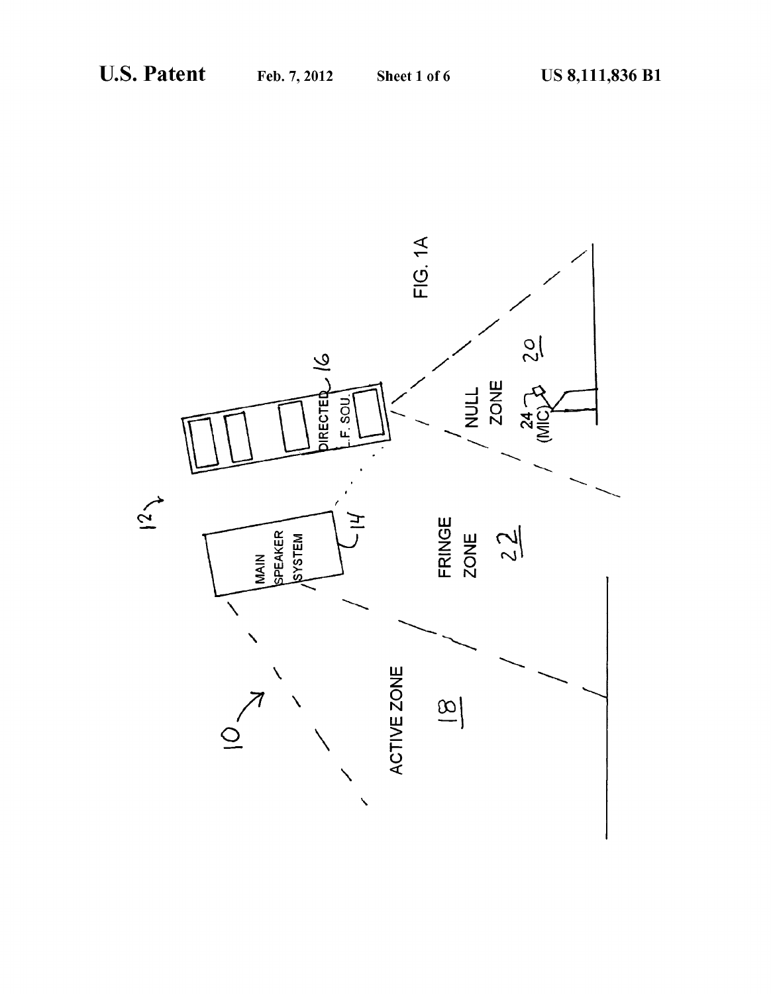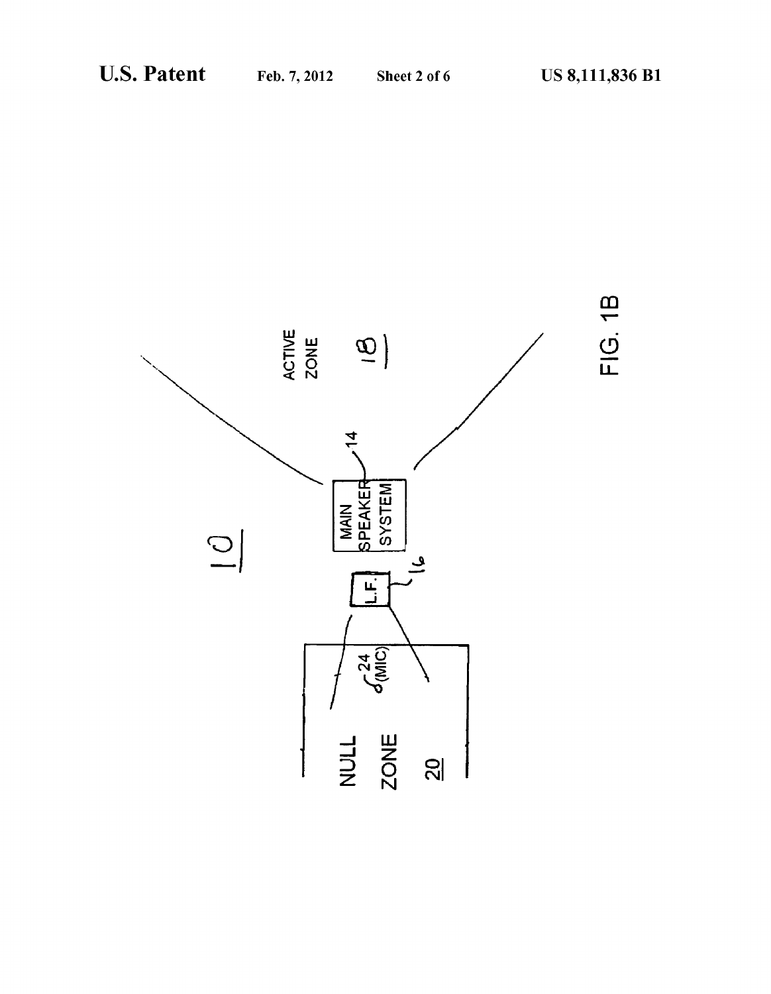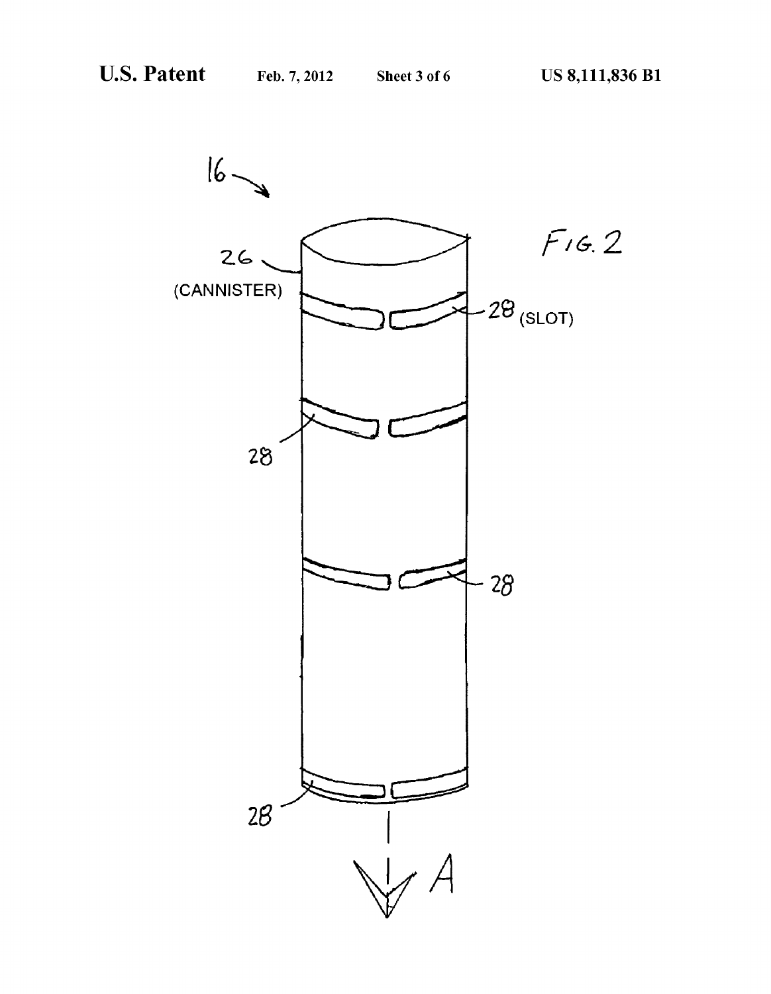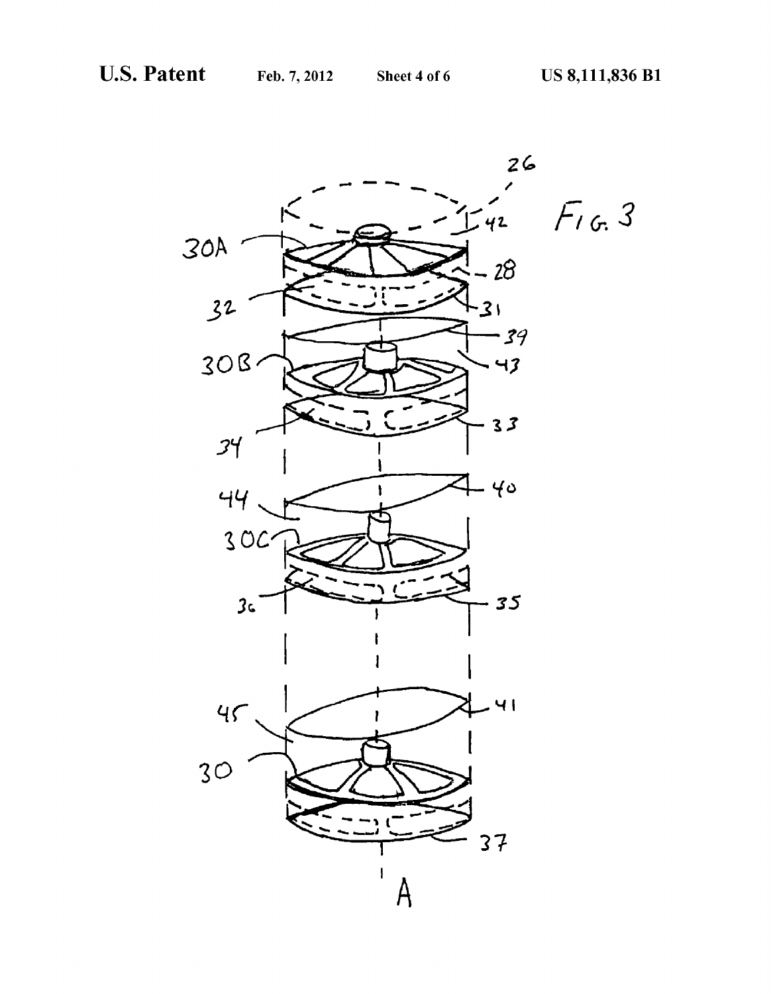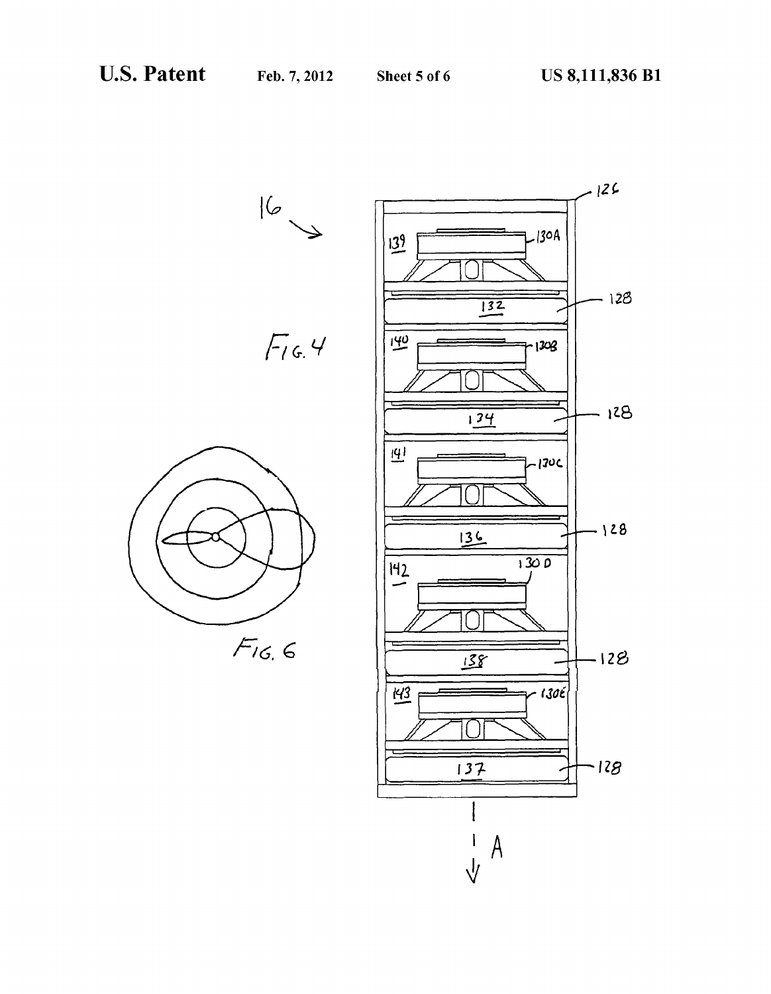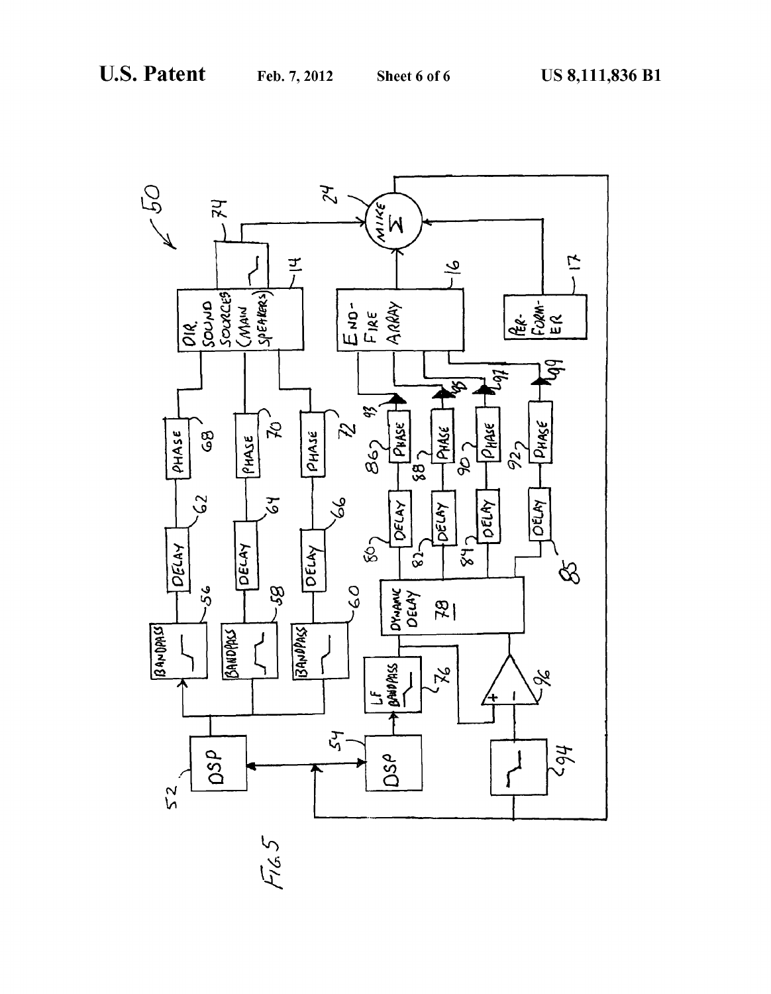

 $F/65$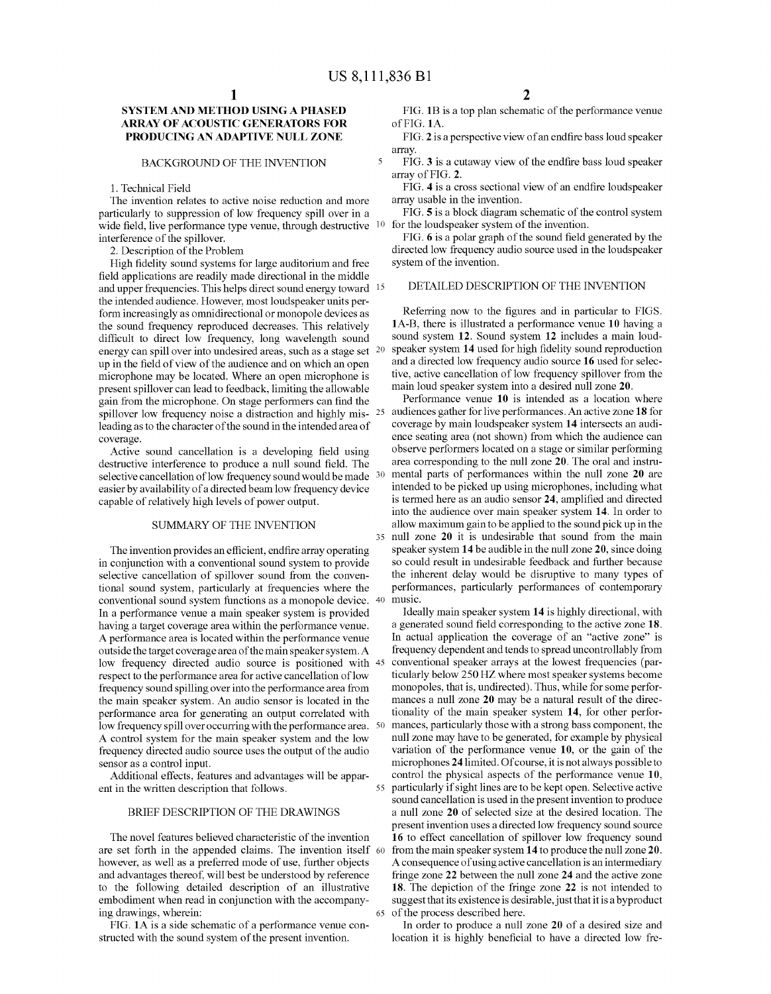$\overline{\mathbf{S}}$ 

55

# SYSTEMAND METHOD USING A PHASED ARRAY OF ACOUSTIC GENERATORS FOR PRODUCING AN ADAPTIVE NULL ZONE

### BACKGROUND OF THE INVENTION

1. Technical Field

The invention relates to active noise reduction and more particularly to suppression of low frequency spill over in a wide field, live performance type venue, through destructive <sup>10</sup> interference of the spillover.

2. Description of the Problem

High fidelity sound systems for large auditorium and free field applications are readily made directional in the middle and upper frequencies. This helps direct Sound energy toward 15 the intended audience. However, most loudspeaker units perform increasingly as omnidirectional or monopole devices as the sound frequency reproduced decreases. This relatively difficult to direct low frequency, long wavelength sound energy can spill over into undesired areas, such as a stage set <sup>20</sup> up in the field of view of the audience and on which an open microphone may be located. Where an open microphone is present spillover can lead to feedback, limiting the allowable gain from the microphone. On stage performers can find the spillover low frequency noise a distraction and highly mis-  $25$ leading as to the character of the sound in the intended area of coverage.

Active sound cancellation is a developing field using destructive interference to produce a null sound field. The selective cancellation of low frequency sound would be made  $30<sup>30</sup>$ easier by availability of a directed beam low frequency device capable of relatively high levels of power output.

# SUMMARY OF THE INVENTION

The invention provides an efficient, endfire array operating in conjunction with a conventional sound system to provide selective cancellation of spillover sound from the conven tional sound system, particularly at frequencies where the conventional sound system functions as a monopole device. 40 In a performance venue a main speaker system is provided having a target coverage area within the performance venue. A performance area is located within the performance venue outside the target coverage area of the main speaker system. A low frequency directed audio source is positioned with 45 respect to the performance area for active cancellation of low frequency Sound spilling over into the performance area from the main speaker system. An audio sensor is located in the performance area for generating an output correlated with low frequency spill over occurring with the performance area. 50 A control system for the main speaker system and the low frequency directed audio source uses the output of the audio

Additional effects, features and advantages will be apparent in the written description that follows.

## BRIEF DESCRIPTION OF THE DRAWINGS

The novel features believed characteristic of the invention are set forth in the appended claims. The invention itself 60 however, as well as a preferred mode of use, further objects and advantages thereof, will best be understood by reference to the following detailed description of an illustrative embodiment when read in conjunction with the accompanying drawings, wherein: 65

FIG. 1A is a side schematic of a performance venue con structed with the sound system of the present invention.

FIG. 1B is a top plan schematic of the performance venue of FIG. 1A.

FIG. 2 is a perspective view of an endfire bass loud speaker array.

FIG. 3 is a cutaway view of the endfire bass loud speaker array of FIG. 2.

FIG. 4 is a cross sectional view of an endfire loudspeaker array usable in the invention.<br>FIG. 5 is a block diagram schematic of the control system

for the loudspeaker system of the invention.

FIG. 6 is a polar graph of the sound field generated by the directed low frequency audio source used in the loudspeaker system of the invention.

# DETAILED DESCRIPTION OF THE INVENTION

Referring now to the figures and in particular to FIGS. 1A-B, there is illustrated a performance venue 10 having a sound system 12. Sound system 12 includes a main loudspeaker system 14 used for high fidelity sound reproduction and a directed low frequency audio Source 16 used for selec tive, active cancellation of low frequency spillover from the main loud speaker system into a desired null Zone 20.

35 null Zone 20 it is undesirable that sound from the main Performance venue 10 is intended as a location where audiences gather for live performances. An active Zone 18 for coverage by main loudspeaker system 14 intersects an audi ence seating area (not shown) from which the audience can observe performers located on a stage or similar performing area corresponding to the null Zone 20. The oral and instru mental parts of performances within the null Zone 20 are intended to be picked up using microphones, including what is termed here as an audio sensor 24, amplified and directed into the audience over main speaker system 14. In order to allow maximum gain to be applied to the Sound pick up in the speaker system 14 be audible in the null Zone 20, since doing so could result in undesirable feedback and further because the inherent delay would be disruptive to many types of performances, particularly performances of contemporary music.

Ideally main speaker system 14 is highly directional, with a generated sound field corresponding to the active zone 18. In actual application the coverage of an "active Zone' is frequency dependent and tends to spread uncontrollably from conventional speaker arrays at the lowest frequencies (par ticularly below 250 HZ where most speaker systems become monopoles, that is, undirected). Thus, while for some perfor mances a null Zone 20 may be a natural result of the direc tionality of the main speaker system 14, for other perfor mances, particularly those with a strong bass component, the null Zone may have to be generated, for example by physical variation of the performance venue 10, or the gain of the microphones 24 limited. Of course, it is not always possible to control the physical aspects of the performance venue 10, particularly if sight lines are to be kept open. Selective active a null zone 20 of selected size at the desired location. The present invention uses a directed low frequency sound source 16 to effect cancellation of spillover low frequency sound from the main speaker system 14 to produce the null zone 20. A consequence of using active cancellation is an intermediary fringe zone 22 between the null zone 24 and the active zone 18. The depiction of the fringe zone 22 is not intended to suggest that its existence is desirable, just that it is a byproduct of the process described here.

In order to produce a null Zone 20 of a desired size and location it is highly beneficial to have a directed low fre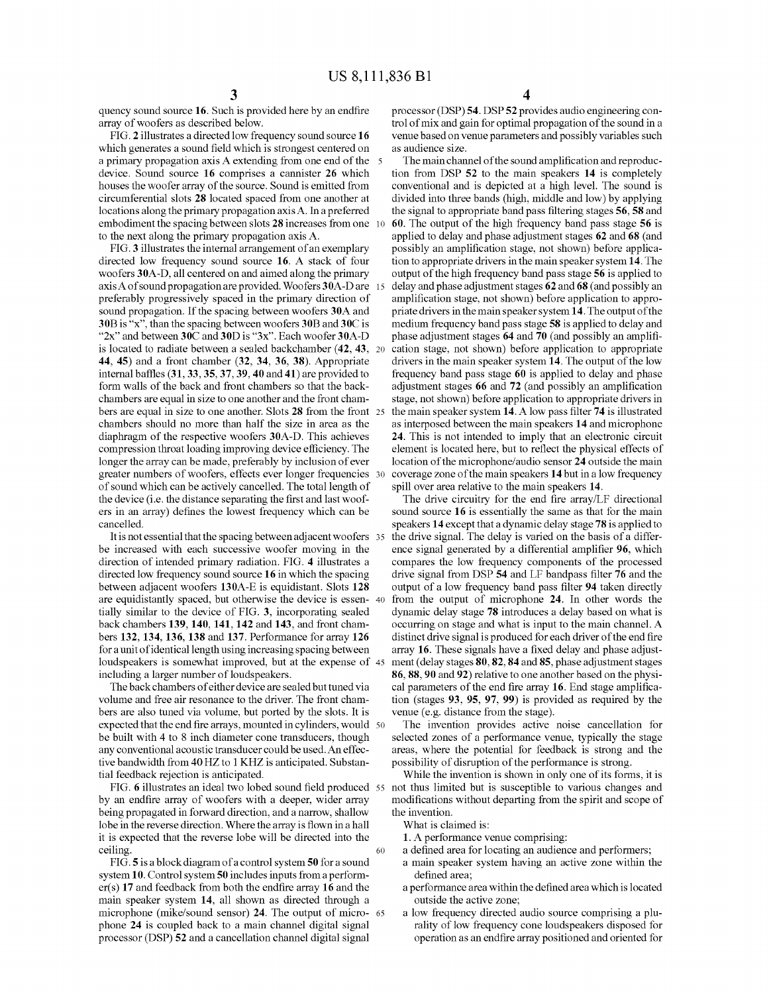quency sound source 16. Such is provided here by an endfire array of woofers as described below.

FIG. 2 illustrates a directed low frequency sound source 16 which generates a sound field which is strongest centered on a primary propagation axis A extending from one end of the device. Sound source 16 comprises a cannister 26 which houses the woofer array of the source. Sound is emitted from circumferential slots 28 located spaced from one another at locations along the primary propagation axis A. In a preferred embodiment the spacing between slots **28** increases from one 10 to the next along the primary propagation axis A.

FIG.3 illustrates the internal arrangement of an exemplary directed low frequency sound source 16. A stack of four woofers 30A-D, all centered on and aimed along the primary woofers 30A-D, all centered on and aimed along the primary axis A of sound propagation are provided. Woofers 30A-D are 15 preferably progressively spaced in the primary direction of sound propagation. If the spacing between woofers 30A and 30B is "x", than the spacing between woofers 30B and 30C is " $2x$ " and between 30C and 30D is " $3x$ ". Each woofer 30A-D is located to radiate between a sealed backchamber (42, 43. 44, 45) and a front chamber (32, 34, 36, 38). Appropriate internal baffles (31,33,35, 37, 39, 40 and 41) are provided to form walls of the back and front chambers so that the back chambers are equal in size to one another and the front cham bers are equal in size to one another. Slots 28 from the front 25 chambers should no more than half the size in area as the diaphragm of the respective woofers 30A-D. This achieves compression throat loading improving device efficiency. The longer the array can be made, preferably by inclusion of ever greater numbers of woofers, effects ever longer frequencies 30 of sound which can be actively cancelled. The total length of the device (i.e. the distance separating the first and last woof ers in an array) defines the lowest frequency which can be cancelled.

It is not essential that the spacing between adjacent woofers 35 be increased with each successive woofer moving in the direction of intended primary radiation. FIG. 4 illustrates a directed low frequency sound source 16 in which the spacing between adjacent woofers 130A-E is equidistant. Slots 128 are equidistantly spaced, but otherwise the device is essen- 40 tially similar to the device of FIG. 3, incorporating sealed back chambers 139, 140, 141, 142 and 143, and front chambers 132, 134, 136, 138 and 137. Performance for array 126 for a unit of identical length using increasing spacing between loudspeakers is somewhat improved, but at the expense of 45 including a larger number of loudspeakers.

The back chambers of either device are sealed but tuned via volume and free air resonance to the driver. The front chambers are also tuned via volume, but ported by the slots. It is  $\,$  expected that the end fire arrays, mounted in cylinders, would  $\,$  50  $\,$ be built with 4 to 8 inch diameter cone transducers, though any conventional acoustic transducer could be used. An effec tive bandwidth from 40 HZ to 1 KHZ is anticipated. Substan tial feedback rejection is anticipated.

by an endfire array of woofers with a deeper, wider array being propagated in forward direction, and a narrow, shallow lobe in the reverse direction. Where the array is flown in a hall it is expected that the reverse lobe will be directed into the ceiling. 60

FIG.5 is a block diagram of a control system 50 for a sound system 10. Control system 50 includes inputs from a perform er(s) 17 and feedback from both the endfire array 16 and the main speaker system 14, all shown as directed through a microphone (mike/sound sensor) 24. The output of microphone 24 is coupled back to a main channel digital signal processor (DSP) 52 and a cancellation channel digital signal 65

processor (DSP) 54. DSP 52 provides audio engineering control of mix and gain for optimal propagation of the sound in a venue based on venue parameters and possibly variables Such as audience size.

The main channel of the sound amplification and reproduction from DSP 52 to the main speakers 14 is completely conventional and is depicted at a high level. The sound is divided into three bands (high, middle and low) by applying the signal to appropriate band pass filtering stages 56, 58 and 60. The output of the high frequency band pass stage 56 is applied to delay and phase adjustment stages 62 and 68 (and possibly an amplification stage, not shown) before applica tion to appropriate drivers in the main speaker system 14. The output of the high frequency band pass stage 56 is applied to delay and phase adjustment stages 62 and 68 (and possibly an amplification stage, not shown) before application to appro priate drivers in the main speaker system 14. The output of the medium frequency band pass stage 58 is applied to delay and phase adjustment stages 64 and 70 (and possibly an amplifi cation stage, not shown) before application to appropriate drivers in the main speaker system 14. The output of the low<br>frequency band pass stage 60 is applied to delay and phase adjustment stages 66 and 72 (and possibly an amplification stage, not shown) before application to appropriate drivers in the main speaker system 14. A low pass filter 74 is illustrated as interposed between the main speakers 14 and microphone 24. This is not intended to imply that an electronic circuit element is located here, but to reflect the physical effects of location of the microphone/audio sensor 24 outside the main coverage Zone of the main speakers 14 but in a low frequency spill over area relative to the main speakers 14.

The drive circuitry for the end fire array/LF directional sound source 16 is essentially the same as that for the main speakers 14 except that a dynamic delay stage 78 is applied to the drive signal. The delay is varied on the basis of a differ ence signal generated by a differential amplifier 96, which compares the low frequency components of the processed drive signal from DSP 54 and LF bandpass filter 76 and the output of a low frequency band pass filter 94 taken directly from the output of microphone 24. In other words the dynamic delay stage 78 introduces a delay based on what is occurring on stage and what is input to the main channel. A distinct drive signal is produced for each driver of the end fire array 16. These signals have a fixed delay and phase adjust ment (delay stages 80, 82, 84 and 85, phase adjustment stages 86, 88, 90 and 92) relative to one another based on the physical parameters of the end fire array 16. End stage amplification (stages 93, 95, 97.99) is provided as required by the venue (e.g. distance from the stage).

The invention provides active noise cancellation for selected Zones of a performance venue, typically the stage areas, where the potential for feedback is strong and the possibility of disruption of the performance is strong.

55 not thus limited but is Susceptible to various changes and While the invention is shown in only one of its forms, it is modifications without departing from the spirit and scope of the invention.

- What is claimed is:
- 1. A performance venue comprising:
- a defined area for locating an audience and performers;
- a main speaker system having an active Zone within the defined area;
- a performance area within the defined area which is located outside the active zone;<br>a low frequency directed audio source comprising a plu-
- rality of low frequency cone loudspeakers disposed for operation as an endfire array positioned and oriented for